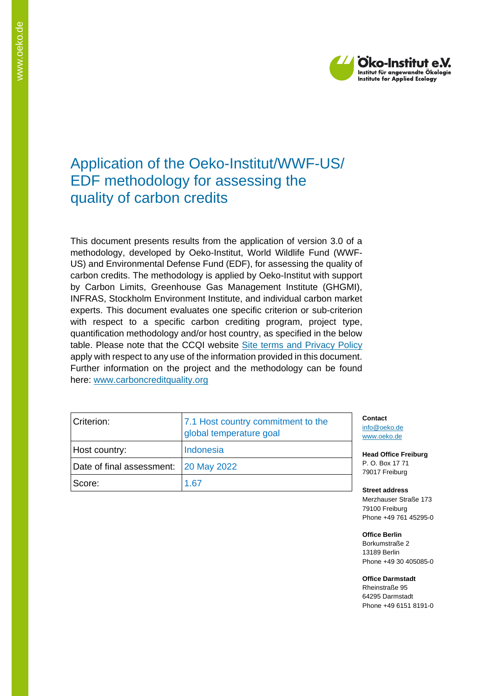

# Application of the Oeko-Institut/WWF-US/ EDF methodology for assessing the quality of carbon credits

This document presents results from the application of version 3.0 of a methodology, developed by Oeko-Institut, World Wildlife Fund (WWF-US) and Environmental Defense Fund (EDF), for assessing the quality of carbon credits. The methodology is applied by Oeko-Institut with support by Carbon Limits, Greenhouse Gas Management Institute (GHGMI), INFRAS, Stockholm Environment Institute, and individual carbon market experts. This document evaluates one specific criterion or sub-criterion with respect to a specific carbon crediting program, project type, quantification methodology and/or host country, as specified in the below table. Please note that the CCQI website [Site terms and Privacy Policy](https://carboncreditquality.org/terms.html) apply with respect to any use of the information provided in this document. Further information on the project and the methodology can be found here: [www.carboncreditquality.org](http://www.carboncreditquality.org/)

| Criterion:                            | 7.1 Host country commitment to the<br>global temperature goal |
|---------------------------------------|---------------------------------------------------------------|
| Host country:                         | Indonesia                                                     |
| Date of final assessment: 20 May 2022 |                                                               |
| Score:                                | 1.67                                                          |

**Contact** [info@oeko.de](mailto:info@oeko.de) [www.oeko.de](http://www.oeko.de/)

**Head Office Freiburg** P. O. Box 17 71 79017 Freiburg

**Street address** Merzhauser Straße 173 79100 Freiburg Phone +49 761 45295-0

**Office Berlin** Borkumstraße 2 13189 Berlin Phone +49 30 405085-0

**Office Darmstadt** Rheinstraße 95 64295 Darmstadt Phone +49 6151 8191-0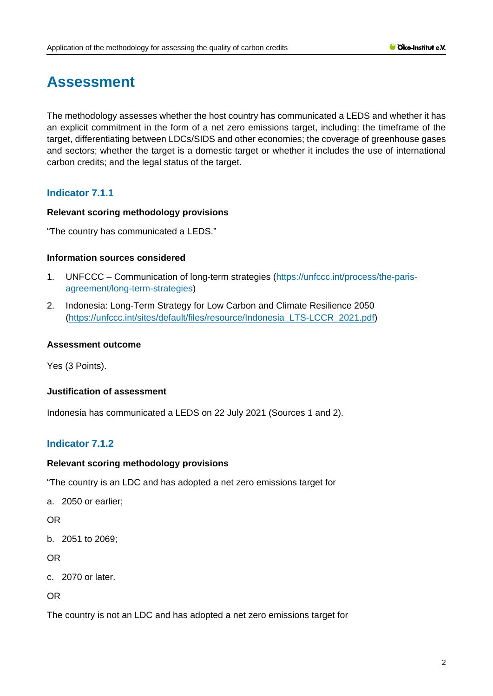# **Assessment**

The methodology assesses whether the host country has communicated a LEDS and whether it has an explicit commitment in the form of a net zero emissions target, including: the timeframe of the target, differentiating between LDCs/SIDS and other economies; the coverage of greenhouse gases and sectors; whether the target is a domestic target or whether it includes the use of international carbon credits; and the legal status of the target.

# **Indicator 7.1.1**

# **Relevant scoring methodology provisions**

"The country has communicated a LEDS."

## **Information sources considered**

- 1. UNFCCC Communication of long-term strategies [\(https://unfccc.int/process/the-paris](https://unfccc.int/process/the-paris-agreement/long-term-strategies)[agreement/long-term-strategies\)](https://unfccc.int/process/the-paris-agreement/long-term-strategies)
- 2. Indonesia: Long-Term Strategy for Low Carbon and Climate Resilience 2050 [\(https://unfccc.int/sites/default/files/resource/Indonesia\\_LTS-LCCR\\_2021.pdf\)](https://unfccc.int/sites/default/files/resource/Indonesia_LTS-LCCR_2021.pdf)

## **Assessment outcome**

Yes (3 Points).

# **Justification of assessment**

Indonesia has communicated a LEDS on 22 July 2021 (Sources 1 and 2).

# **Indicator 7.1.2**

#### **Relevant scoring methodology provisions**

"The country is an LDC and has adopted a net zero emissions target for

a. 2050 or earlier;

OR

b. 2051 to 2069;

OR

c. 2070 or later.

OR

The country is not an LDC and has adopted a net zero emissions target for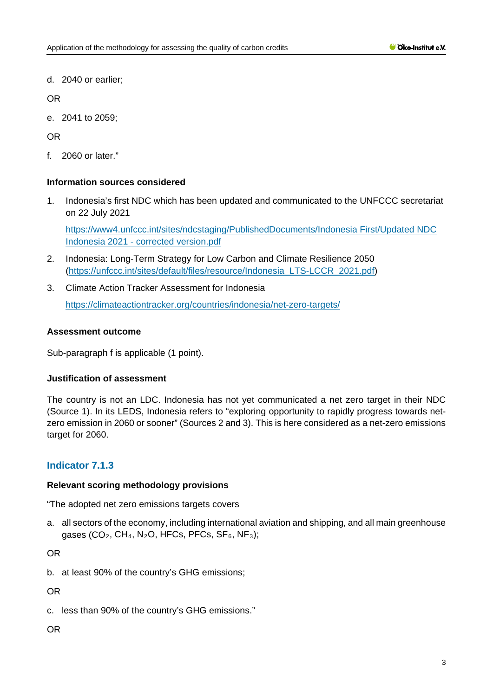d. 2040 or earlier;

OR

e. 2041 to 2059;

OR

f. 2060 or later."

# **Information sources considered**

1. Indonesia's first NDC which has been updated and communicated to the UNFCCC secretariat on 22 July 2021

[https://www4.unfccc.int/sites/ndcstaging/PublishedDocuments/Indonesia First/Updated NDC](https://www4.unfccc.int/sites/ndcstaging/PublishedDocuments/Indonesia%20First/Updated%20NDC%20Indonesia%202021%20-%20corrected%20version.pdf)  Indonesia 2021 - [corrected version.pdf](https://www4.unfccc.int/sites/ndcstaging/PublishedDocuments/Indonesia%20First/Updated%20NDC%20Indonesia%202021%20-%20corrected%20version.pdf)

- 2. Indonesia: Long-Term Strategy for Low Carbon and Climate Resilience 2050 [\(https://unfccc.int/sites/default/files/resource/Indonesia\\_LTS-LCCR\\_2021.pdf\)](https://unfccc.int/sites/default/files/resource/Indonesia_LTS-LCCR_2021.pdf)
- 3. Climate Action Tracker Assessment for Indonesia <https://climateactiontracker.org/countries/indonesia/net-zero-targets/>

# **Assessment outcome**

Sub-paragraph f is applicable (1 point).

# **Justification of assessment**

The country is not an LDC. Indonesia has not yet communicated a net zero target in their NDC (Source 1). In its LEDS, Indonesia refers to "exploring opportunity to rapidly progress towards netzero emission in 2060 or sooner" (Sources 2 and 3). This is here considered as a net-zero emissions target for 2060.

# **Indicator 7.1.3**

# **Relevant scoring methodology provisions**

"The adopted net zero emissions targets covers

a. all sectors of the economy, including international aviation and shipping, and all main greenhouse gases (CO<sub>2</sub>, CH<sub>4</sub>, N<sub>2</sub>O, HFCs, PFCs, SF<sub>6</sub>, NF<sub>3</sub>);

OR

b. at least 90% of the country's GHG emissions;

OR

c. less than 90% of the country's GHG emissions."

OR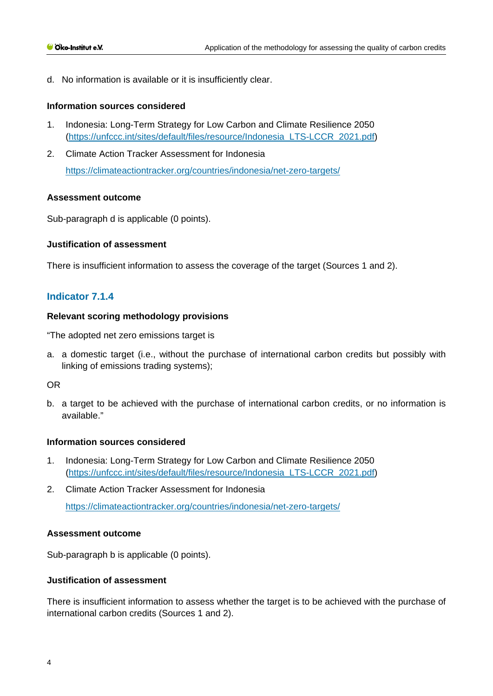d. No information is available or it is insufficiently clear.

#### **Information sources considered**

- 1. Indonesia: Long-Term Strategy for Low Carbon and Climate Resilience 2050 [\(https://unfccc.int/sites/default/files/resource/Indonesia\\_LTS-LCCR\\_2021.pdf\)](https://unfccc.int/sites/default/files/resource/Indonesia_LTS-LCCR_2021.pdf)
- 2. Climate Action Tracker Assessment for Indonesia <https://climateactiontracker.org/countries/indonesia/net-zero-targets/>

#### **Assessment outcome**

Sub-paragraph d is applicable (0 points).

## **Justification of assessment**

There is insufficient information to assess the coverage of the target (Sources 1 and 2).

# **Indicator 7.1.4**

#### **Relevant scoring methodology provisions**

"The adopted net zero emissions target is

a. a domestic target (i.e., without the purchase of international carbon credits but possibly with linking of emissions trading systems);

## OR

b. a target to be achieved with the purchase of international carbon credits, or no information is available."

#### **Information sources considered**

- 1. Indonesia: Long-Term Strategy for Low Carbon and Climate Resilience 2050 [\(https://unfccc.int/sites/default/files/resource/Indonesia\\_LTS-LCCR\\_2021.pdf\)](https://unfccc.int/sites/default/files/resource/Indonesia_LTS-LCCR_2021.pdf)
- 2. Climate Action Tracker Assessment for Indonesia <https://climateactiontracker.org/countries/indonesia/net-zero-targets/>

#### **Assessment outcome**

Sub-paragraph b is applicable (0 points).

# **Justification of assessment**

There is insufficient information to assess whether the target is to be achieved with the purchase of international carbon credits (Sources 1 and 2).